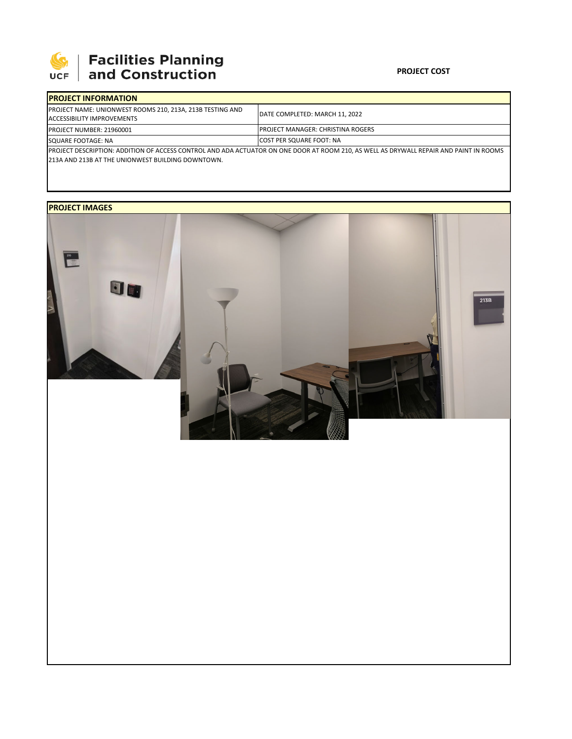

# 

### **PROJECT COST**

| <b>IPROJECT INFORMATION</b>                                                                                                                                                                  |                                    |  |  |  |
|----------------------------------------------------------------------------------------------------------------------------------------------------------------------------------------------|------------------------------------|--|--|--|
| <b>PROJECT NAME: UNIONWEST ROOMS 210, 213A, 213B TESTING AND</b><br>ACCESSIBILITY IMPROVEMENTS                                                                                               | IDATE COMPLETED: MARCH 11. 2022    |  |  |  |
| <b>PROJECT NUMBER: 21960001</b>                                                                                                                                                              | IPROJECT MANAGER: CHRISTINA ROGERS |  |  |  |
| SQUARE FOOTAGE: NA                                                                                                                                                                           | <b>COST PER SQUARE FOOT: NA</b>    |  |  |  |
| IPROJECT DESCRIPTION: ADDITION OF ACCESS CONTROL AND ADA ACTUATOR ON ONE DOOR AT ROOM 210. AS WELL AS DRYWALL REPAIR AND PAINT IN ROOMS<br>213A AND 213B AT THE UNIONWEST BUILDING DOWNTOWN. |                                    |  |  |  |

### **PROJECT IMAGES**